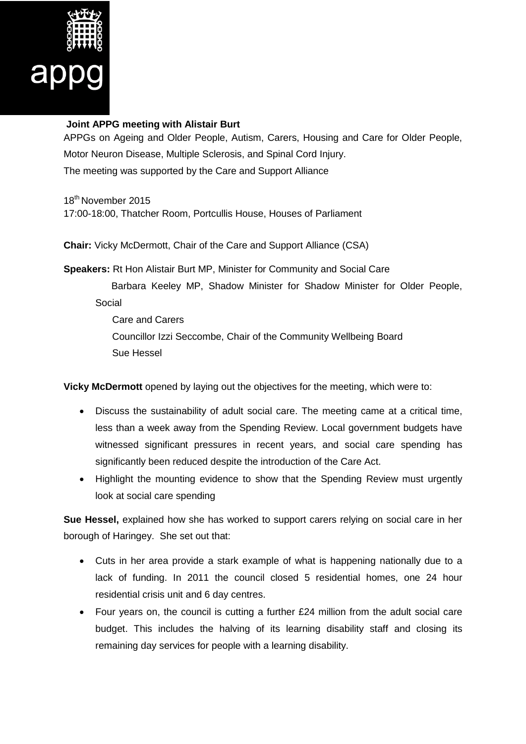

## **Joint APPG meeting with Alistair Burt**

APPGs on Ageing and Older People, Autism, Carers, Housing and Care for Older People, Motor Neuron Disease, Multiple Sclerosis, and Spinal Cord Injury. The meeting was supported by the Care and Support Alliance

18th November 2015 17:00-18:00, Thatcher Room, Portcullis House, Houses of Parliament

**Chair:** Vicky McDermott, Chair of the Care and Support Alliance (CSA)

**Speakers:** Rt Hon Alistair Burt MP, Minister for Community and Social Care

 Barbara Keeley MP, Shadow Minister for Shadow Minister for Older People, Social

 Care and Carers Councillor Izzi Seccombe, Chair of the Community Wellbeing Board Sue Hessel

**Vicky McDermott** opened by laying out the objectives for the meeting, which were to:

- Discuss the sustainability of adult social care. The meeting came at a critical time, less than a week away from the Spending Review. Local government budgets have witnessed significant pressures in recent years, and social care spending has significantly been reduced despite the introduction of the Care Act.
- Highlight the mounting evidence to show that the Spending Review must urgently look at social care spending

**Sue Hessel,** explained how she has worked to support carers relying on social care in her borough of Haringey. She set out that:

- Cuts in her area provide a stark example of what is happening nationally due to a lack of funding. In 2011 the council closed 5 residential homes, one 24 hour residential crisis unit and 6 day centres.
- Four years on, the council is cutting a further £24 million from the adult social care budget. This includes the halving of its learning disability staff and closing its remaining day services for people with a learning disability.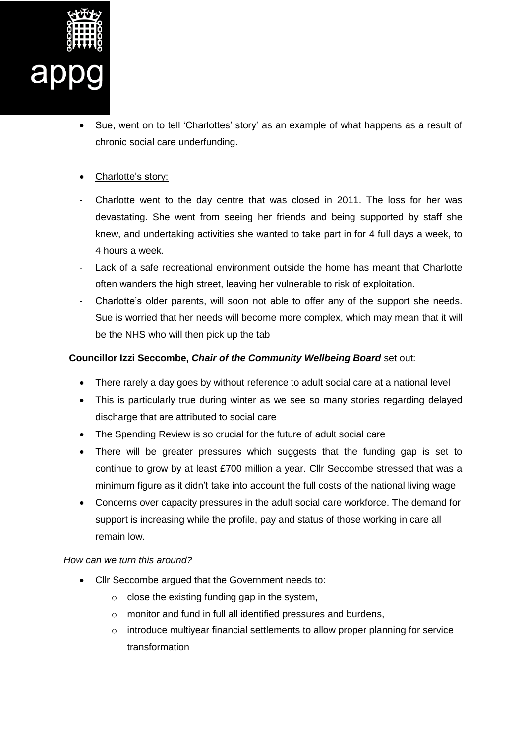

- Sue, went on to tell 'Charlottes' story' as an example of what happens as a result of chronic social care underfunding.
- Charlotte's story:
- Charlotte went to the day centre that was closed in 2011. The loss for her was devastating. She went from seeing her friends and being supported by staff she knew, and undertaking activities she wanted to take part in for 4 full days a week, to 4 hours a week.
- Lack of a safe recreational environment outside the home has meant that Charlotte often wanders the high street, leaving her vulnerable to risk of exploitation.
- Charlotte's older parents, will soon not able to offer any of the support she needs. Sue is worried that her needs will become more complex, which may mean that it will be the NHS who will then pick up the tab

## **Councillor Izzi Seccombe,** *Chair of the Community Wellbeing Board* set out:

- There rarely a day goes by without reference to adult social care at a national level
- This is particularly true during winter as we see so many stories regarding delayed discharge that are attributed to social care
- The Spending Review is so crucial for the future of adult social care
- There will be greater pressures which suggests that the funding gap is set to continue to grow by at least £700 million a year. Cllr Seccombe stressed that was a minimum figure as it didn't take into account the full costs of the national living wage
- Concerns over capacity pressures in the adult social care workforce. The demand for support is increasing while the profile, pay and status of those working in care all remain low.

## *How can we turn this around?*

- Cllr Seccombe argued that the Government needs to:
	- $\circ$  close the existing funding gap in the system,
	- o monitor and fund in full all identified pressures and burdens,
	- o introduce multiyear financial settlements to allow proper planning for service transformation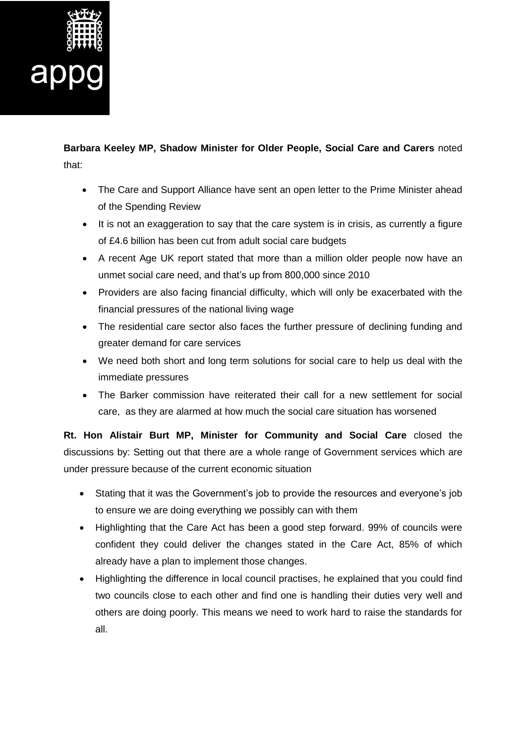

## **Barbara Keeley MP, Shadow Minister for Older People, Social Care and Carers** noted that:

- The Care and Support Alliance have sent an open letter to the Prime Minister ahead of the Spending Review
- It is not an exaggeration to say that the care system is in crisis, as currently a figure of £4.6 billion has been cut from adult social care budgets
- A recent Age UK report stated that more than a million older people now have an unmet social care need, and that's up from 800,000 since 2010
- Providers are also facing financial difficulty, which will only be exacerbated with the financial pressures of the national living wage
- The residential care sector also faces the further pressure of declining funding and greater demand for care services
- We need both short and long term solutions for social care to help us deal with the immediate pressures
- The Barker commission have reiterated their call for a new settlement for social care, as they are alarmed at how much the social care situation has worsened

**Rt. Hon Alistair Burt MP, Minister for Community and Social Care** closed the discussions by: Setting out that there are a whole range of Government services which are under pressure because of the current economic situation

- Stating that it was the Government's job to provide the resources and everyone's job to ensure we are doing everything we possibly can with them
- Highlighting that the Care Act has been a good step forward. 99% of councils were confident they could deliver the changes stated in the Care Act, 85% of which already have a plan to implement those changes.
- Highlighting the difference in local council practises, he explained that you could find two councils close to each other and find one is handling their duties very well and others are doing poorly. This means we need to work hard to raise the standards for all.